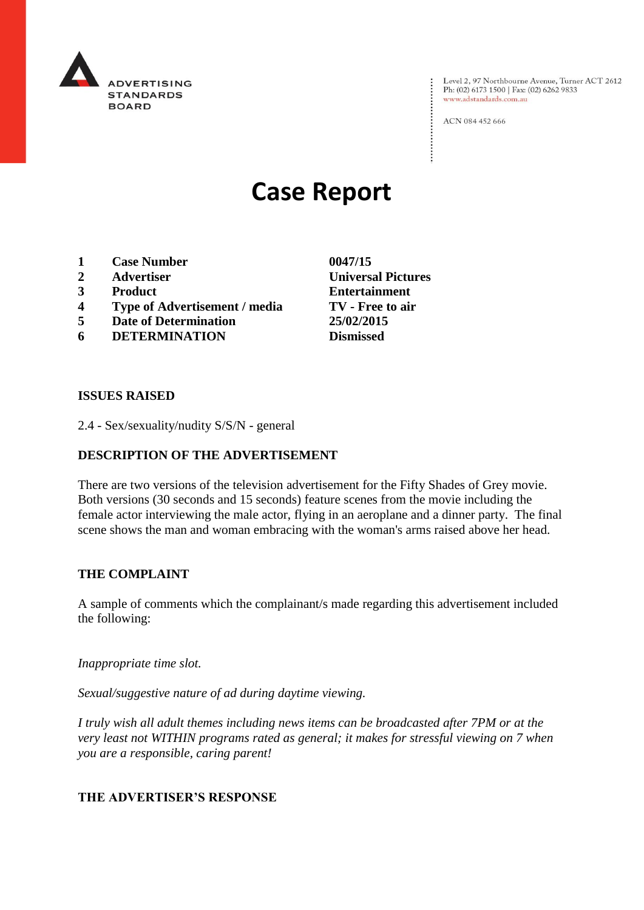

Level 2, 97 Northbourne Avenue, Turner ACT 2612<br>Ph: (02) 6173 1500 | Fax: (02) 6262 9833 www.adstandards.com.au

ACN 084 452 666

# **Case Report**

- **1 Case Number 0047/15**
- **2 Advertiser Universal Pictures**
- **3 Product Entertainment**
- **4 Type of Advertisement / media TV - Free to air**
- **5 Date of Determination 25/02/2015**
- **6 DETERMINATION Dismissed**

**ISSUES RAISED**

2.4 - Sex/sexuality/nudity S/S/N - general

## **DESCRIPTION OF THE ADVERTISEMENT**

There are two versions of the television advertisement for the Fifty Shades of Grey movie. Both versions (30 seconds and 15 seconds) feature scenes from the movie including the female actor interviewing the male actor, flying in an aeroplane and a dinner party. The final scene shows the man and woman embracing with the woman's arms raised above her head.

#### **THE COMPLAINT**

A sample of comments which the complainant/s made regarding this advertisement included the following:

*Inappropriate time slot.*

*Sexual/suggestive nature of ad during daytime viewing.*

*I truly wish all adult themes including news items can be broadcasted after 7PM or at the very least not WITHIN programs rated as general; it makes for stressful viewing on 7 when you are a responsible, caring parent!*

### **THE ADVERTISER'S RESPONSE**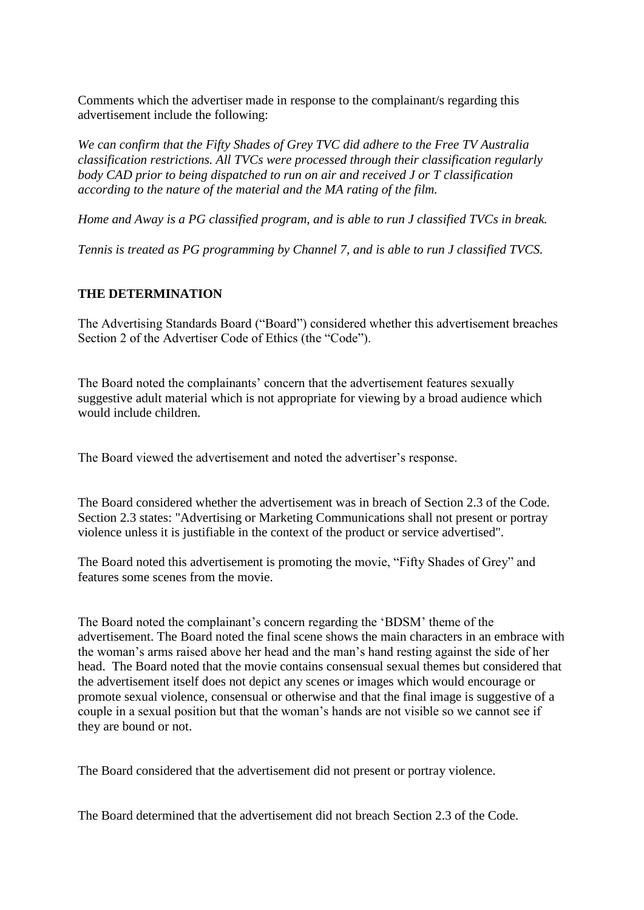Comments which the advertiser made in response to the complainant/s regarding this advertisement include the following:

*We can confirm that the Fifty Shades of Grey TVC did adhere to the Free TV Australia classification restrictions. All TVCs were processed through their classification regularly body CAD prior to being dispatched to run on air and received J or T classification according to the nature of the material and the MA rating of the film.*

*Home and Away is a PG classified program, and is able to run J classified TVCs in break.*

*Tennis is treated as PG programming by Channel 7, and is able to run J classified TVCS.*

## **THE DETERMINATION**

The Advertising Standards Board ("Board") considered whether this advertisement breaches Section 2 of the Advertiser Code of Ethics (the "Code").

The Board noted the complainants' concern that the advertisement features sexually suggestive adult material which is not appropriate for viewing by a broad audience which would include children.

The Board viewed the advertisement and noted the advertiser's response.

The Board considered whether the advertisement was in breach of Section 2.3 of the Code. Section 2.3 states: "Advertising or Marketing Communications shall not present or portray violence unless it is justifiable in the context of the product or service advertised".

The Board noted this advertisement is promoting the movie, "Fifty Shades of Grey" and features some scenes from the movie.

The Board noted the complainant's concern regarding the 'BDSM' theme of the advertisement. The Board noted the final scene shows the main characters in an embrace with the woman's arms raised above her head and the man's hand resting against the side of her head. The Board noted that the movie contains consensual sexual themes but considered that the advertisement itself does not depict any scenes or images which would encourage or promote sexual violence, consensual or otherwise and that the final image is suggestive of a couple in a sexual position but that the woman's hands are not visible so we cannot see if they are bound or not.

The Board considered that the advertisement did not present or portray violence.

The Board determined that the advertisement did not breach Section 2.3 of the Code.